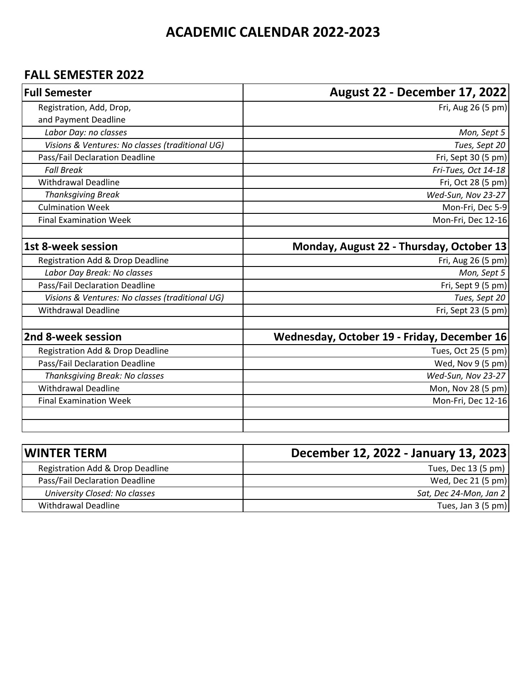## **ACADEMIC CALENDAR 2022-2023**

#### **FALL SEMESTER 2022**

| <b>Full Semester</b>                            | August 22 - December 17, 2022               |
|-------------------------------------------------|---------------------------------------------|
| Registration, Add, Drop,                        | Fri, Aug 26 (5 pm)                          |
| and Payment Deadline                            |                                             |
| Labor Day: no classes                           | Mon, Sept 5                                 |
| Visions & Ventures: No classes (traditional UG) | Tues, Sept 20                               |
| Pass/Fail Declaration Deadline                  | Fri, Sept 30 (5 pm)                         |
| <b>Fall Break</b>                               | Fri-Tues, Oct 14-18                         |
| <b>Withdrawal Deadline</b>                      | Fri, Oct 28 (5 pm)                          |
| <b>Thanksgiving Break</b>                       | Wed-Sun, Nov 23-27                          |
| <b>Culmination Week</b>                         | Mon-Fri, Dec 5-9                            |
| <b>Final Examination Week</b>                   | Mon-Fri, Dec 12-16                          |
| <b>1st 8-week session</b>                       | Monday, August 22 - Thursday, October 13    |
| Registration Add & Drop Deadline                | Fri, Aug 26 (5 pm)                          |
| Labor Day Break: No classes                     | Mon, Sept 5                                 |
| Pass/Fail Declaration Deadline                  | Fri, Sept 9 (5 pm)                          |
| Visions & Ventures: No classes (traditional UG) | Tues, Sept 20                               |
| <b>Withdrawal Deadline</b>                      | Fri, Sept 23 (5 pm)                         |
|                                                 |                                             |
| 2nd 8-week session                              | Wednesday, October 19 - Friday, December 16 |
| Registration Add & Drop Deadline                | Tues, Oct 25 (5 pm)                         |
| Pass/Fail Declaration Deadline                  | Wed, Nov 9 (5 pm)                           |
| Thanksgiving Break: No classes                  | Wed-Sun, Nov 23-27                          |
| <b>Withdrawal Deadline</b>                      | Mon, Nov 28 (5 pm)                          |
| <b>Final Examination Week</b>                   | Mon-Fri, Dec 12-16                          |
|                                                 |                                             |
|                                                 |                                             |

| WINTER TERM                      | December 12, 2022 - January 13, 2023 |
|----------------------------------|--------------------------------------|
| Registration Add & Drop Deadline | Tues, Dec 13 (5 pm)                  |
| Pass/Fail Declaration Deadline   | Wed, Dec 21 (5 pm)                   |
| University Closed: No classes    | Sat, Dec 24-Mon, Jan 2               |
| Withdrawal Deadline              | Tues, Jan 3 (5 pm)                   |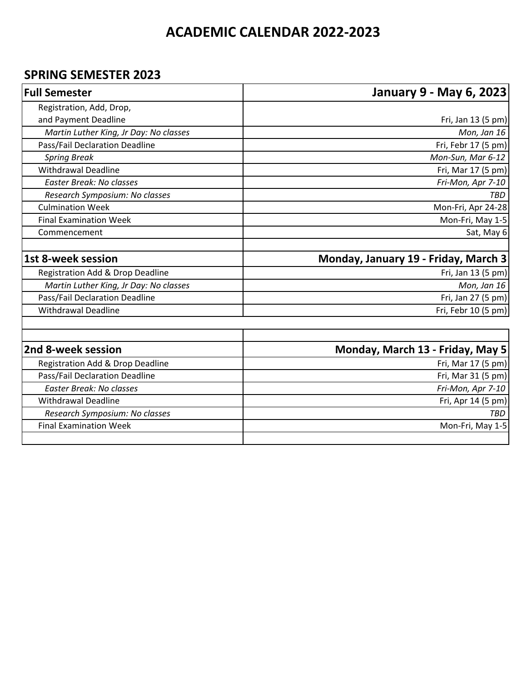## **ACADEMIC CALENDAR 2022-2023**

### **SPRING SEMESTER 2023**

| <b>Full Semester</b>                   | <b>January 9 - May 6, 2023</b>       |
|----------------------------------------|--------------------------------------|
| Registration, Add, Drop,               |                                      |
| and Payment Deadline                   | Fri, Jan 13 (5 pm)                   |
| Martin Luther King, Jr Day: No classes | Mon, Jan 16                          |
| Pass/Fail Declaration Deadline         | Fri, Febr 17 (5 pm)                  |
| <b>Spring Break</b>                    | Mon-Sun, Mar 6-12                    |
| <b>Withdrawal Deadline</b>             | Fri, Mar 17 (5 pm)                   |
| Easter Break: No classes               | Fri-Mon, Apr 7-10                    |
| Research Symposium: No classes         | <b>TBD</b>                           |
| <b>Culmination Week</b>                | Mon-Fri, Apr 24-28                   |
| <b>Final Examination Week</b>          | Mon-Fri, May 1-5                     |
| Commencement                           | Sat, May 6                           |
| 1st 8-week session                     | Monday, January 19 - Friday, March 3 |
| Registration Add & Drop Deadline       | Fri, Jan 13 (5 pm)                   |
| Martin Luther King, Jr Day: No classes | Mon, Jan 16                          |
| Pass/Fail Declaration Deadline         | Fri, Jan 27 (5 pm)                   |
| <b>Withdrawal Deadline</b>             | Fri, Febr 10 (5 pm)                  |
|                                        |                                      |
| 2nd 8-week session                     | Monday, March 13 - Friday, May 5     |
| Registration Add & Drop Deadline       | Fri, Mar 17 (5 pm)                   |
| Pass/Fail Declaration Deadline         | Fri, Mar 31 (5 pm)                   |
| Easter Break: No classes               | Fri-Mon, Apr 7-10                    |
| <b>Withdrawal Deadline</b>             | Fri, Apr 14 (5 pm)                   |
| Research Symposium: No classes         | <b>TRD</b>                           |
| <b>Final Examination Week</b>          | Mon-Fri, May 1-5                     |
|                                        |                                      |